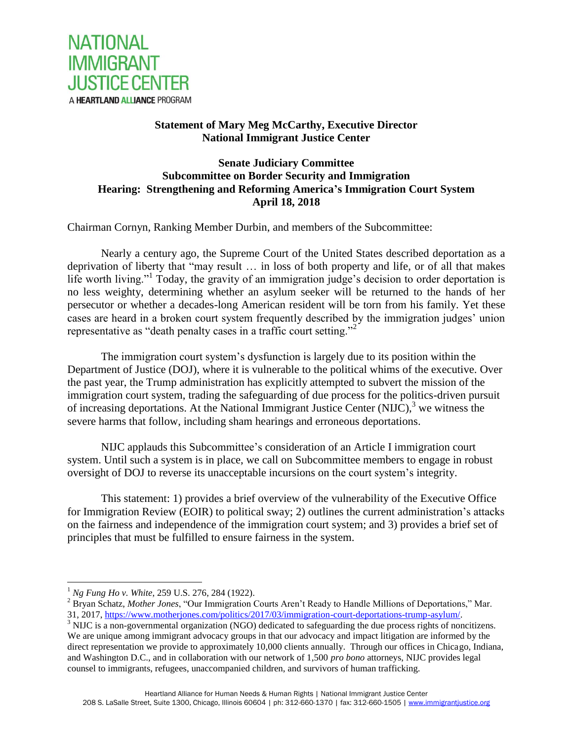

# **Statement of Mary Meg McCarthy, Executive Director National Immigrant Justice Center**

# **Senate Judiciary Committee Subcommittee on Border Security and Immigration Hearing: Strengthening and Reforming America's Immigration Court System April 18, 2018**

Chairman Cornyn, Ranking Member Durbin, and members of the Subcommittee:

Nearly a century ago, the Supreme Court of the United States described deportation as a deprivation of liberty that "may result … in loss of both property and life, or of all that makes life worth living."<sup>1</sup> Today, the gravity of an immigration judge's decision to order deportation is no less weighty, determining whether an asylum seeker will be returned to the hands of her persecutor or whether a decades-long American resident will be torn from his family. Yet these cases are heard in a broken court system frequently described by the immigration judges' union representative as "death penalty cases in a traffic court setting."<sup>2</sup>

The immigration court system's dysfunction is largely due to its position within the Department of Justice (DOJ), where it is vulnerable to the political whims of the executive. Over the past year, the Trump administration has explicitly attempted to subvert the mission of the immigration court system, trading the safeguarding of due process for the politics-driven pursuit of increasing deportations. At the National Immigrant Justice Center (NIJC), $3$  we witness the severe harms that follow, including sham hearings and erroneous deportations.

NIJC applauds this Subcommittee's consideration of an Article I immigration court system. Until such a system is in place, we call on Subcommittee members to engage in robust oversight of DOJ to reverse its unacceptable incursions on the court system's integrity.

This statement: 1) provides a brief overview of the vulnerability of the Executive Office for Immigration Review (EOIR) to political sway; 2) outlines the current administration's attacks on the fairness and independence of the immigration court system; and 3) provides a brief set of principles that must be fulfilled to ensure fairness in the system.

<sup>1</sup> *Ng Fung Ho v. White*, 259 U.S. 276, 284 (1922).

<sup>2</sup> Bryan Schatz, *Mother Jones*, "Our Immigration Courts Aren't Ready to Handle Millions of Deportations," Mar. 31, 2017, [https://www.motherjones.com/politics/2017/03/immigration-court-deportations-trump-asylum/.](https://www.motherjones.com/politics/2017/03/immigration-court-deportations-trump-asylum/)

<sup>&</sup>lt;sup>3</sup> NIJC is a non-governmental organization (NGO) dedicated to safeguarding the due process rights of noncitizens. We are unique among immigrant advocacy groups in that our advocacy and impact litigation are informed by the direct representation we provide to approximately 10,000 clients annually. Through our offices in Chicago, Indiana, and Washington D.C., and in collaboration with our network of 1,500 *pro bono* attorneys, NIJC provides legal counsel to immigrants, refugees, unaccompanied children, and survivors of human trafficking.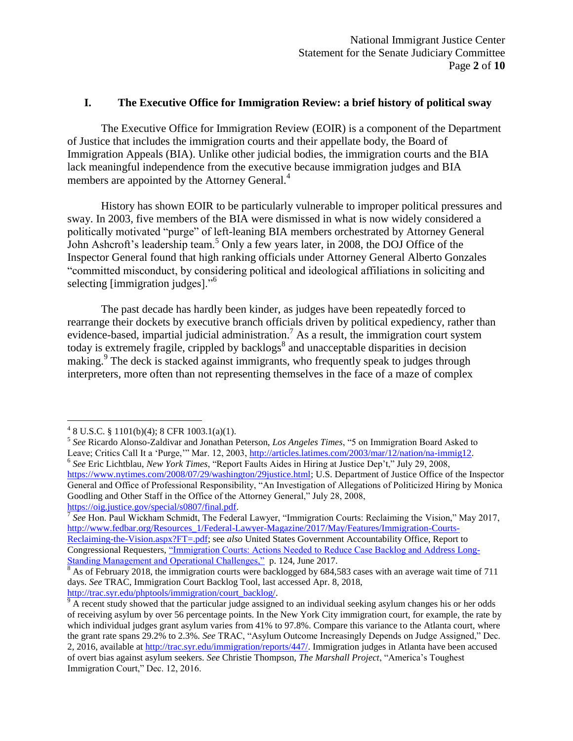### **I. The Executive Office for Immigration Review: a brief history of political sway**

The Executive Office for Immigration Review (EOIR) is a component of the Department of Justice that includes the immigration courts and their appellate body, the Board of Immigration Appeals (BIA). Unlike other judicial bodies, the immigration courts and the BIA lack meaningful independence from the executive because immigration judges and BIA members are appointed by the Attorney General.<sup>4</sup>

History has shown EOIR to be particularly vulnerable to improper political pressures and sway. In 2003, five members of the BIA were dismissed in what is now widely considered a politically motivated "purge" of left-leaning BIA members orchestrated by Attorney General John Ashcroft's leadership team.<sup>5</sup> Only a few years later, in 2008, the DOJ Office of the Inspector General found that high ranking officials under Attorney General Alberto Gonzales "committed misconduct, by considering political and ideological affiliations in soliciting and selecting [immigration judges]."<sup>6</sup>

The past decade has hardly been kinder, as judges have been repeatedly forced to rearrange their dockets by executive branch officials driven by political expediency, rather than evidence-based, impartial judicial administration.<sup>7</sup> As a result, the immigration court system today is extremely fragile, crippled by backlogs<sup>8</sup> and unacceptable disparities in decision making.<sup>9</sup> The deck is stacked against immigrants, who frequently speak to judges through interpreters, more often than not representing themselves in the face of a maze of complex

 $48$  U.S.C. § 1101(b)(4); 8 CFR 1003.1(a)(1).

<sup>5</sup> *See* Ricardo Alonso-Zaldivar and Jonathan Peterson, *Los Angeles Times*, "5 on Immigration Board Asked to Leave; Critics Call It a 'Purge,'" Mar. 12, 2003[, http://articles.latimes.com/2003/mar/12/nation/na-immig12.](http://articles.latimes.com/2003/mar/12/nation/na-immig12) 6 *See* Eric Lichtblau, *New York Times*, "Report Faults Aides in Hiring at Justice Dep't," July 29, 2008, [https://www.nytimes.com/2008/07/29/washington/29justice.html;](https://www.nytimes.com/2008/07/29/washington/29justice.html) U.S. Department of Justice Office of the Inspector

General and Office of Professional Responsibility, "An Investigation of Allegations of Politicized Hiring by Monica Goodling and Other Staff in the Office of the Attorney General," July 28, 2008, [https://oig.justice.gov/special/s0807/final.pdf.](https://oig.justice.gov/special/s0807/final.pdf)

<sup>&</sup>lt;sup>7</sup> See Hon. Paul Wickham Schmidt, The Federal Lawyer, "Immigration Courts: Reclaiming the Vision," May 2017, [http://www.fedbar.org/Resources\\_1/Federal-Lawyer-Magazine/2017/May/Features/Immigration-Courts-](http://www.fedbar.org/Resources_1/Federal-Lawyer-Magazine/2017/May/Features/Immigration-Courts-Reclaiming-the-Vision.aspx?FT=.pdf)[Reclaiming-the-Vision.aspx?FT=.pdf;](http://www.fedbar.org/Resources_1/Federal-Lawyer-Magazine/2017/May/Features/Immigration-Courts-Reclaiming-the-Vision.aspx?FT=.pdf) see *also* United States Government Accountability Office, Report to Congressional Requesters, ["Immigration Courts: Actions Needed to Reduce Case Backlog and Address Long-](http://www.gao.gov/assets/690/685022.pdf)[Standing Management and Operational Challenges,"](http://www.gao.gov/assets/690/685022.pdf) p. 124, June 2017.

 $8$  As of February 2018, the immigration courts were backlogged by 684,583 cases with an average wait time of 711 days. *See* TRAC, Immigration Court Backlog Tool, last accessed Apr. 8, 2018, [http://trac.syr.edu/phptools/immigration/court\\_backlog/.](http://trac.syr.edu/phptools/immigration/court_backlog/)

 $\frac{9}{9}$  A recent study showed that the particular judge assigned to an individual seeking asylum changes his or her odds of receiving asylum by over 56 percentage points. In the New York City immigration court, for example, the rate by which individual judges grant asylum varies from 41% to 97.8%. Compare this variance to the Atlanta court, where the grant rate spans 29.2% to 2.3%. *See* TRAC, "Asylum Outcome Increasingly Depends on Judge Assigned," Dec. 2, 2016, available at [http://trac.syr.edu/immigration/reports/447/.](http://trac.syr.edu/immigration/reports/447/) Immigration judges in Atlanta have been accused of overt bias against asylum seekers. *See* Christie Thompson, *The Marshall Project*, "America's Toughest Immigration Court," Dec. 12, 2016.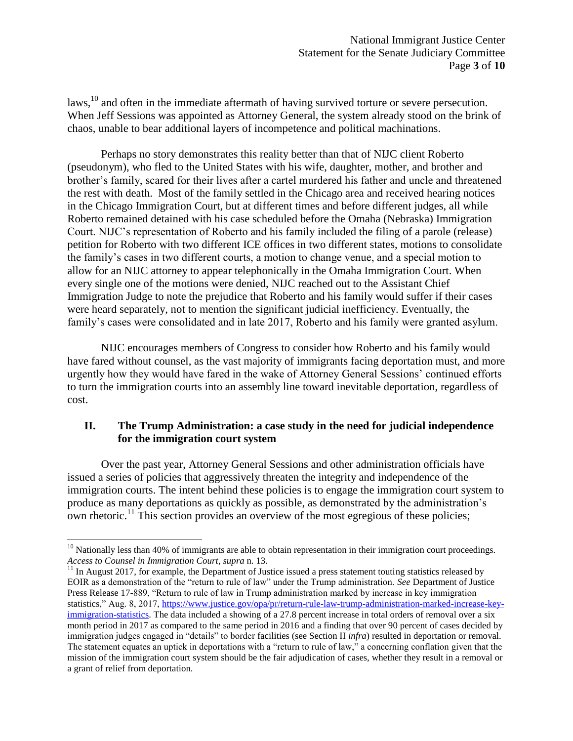laws,<sup>10</sup> and often in the immediate aftermath of having survived torture or severe persecution. When Jeff Sessions was appointed as Attorney General, the system already stood on the brink of chaos, unable to bear additional layers of incompetence and political machinations.

Perhaps no story demonstrates this reality better than that of NIJC client Roberto (pseudonym), who fled to the United States with his wife, daughter, mother, and brother and brother's family, scared for their lives after a cartel murdered his father and uncle and threatened the rest with death. Most of the family settled in the Chicago area and received hearing notices in the Chicago Immigration Court, but at different times and before different judges, all while Roberto remained detained with his case scheduled before the Omaha (Nebraska) Immigration Court. NIJC's representation of Roberto and his family included the filing of a parole (release) petition for Roberto with two different ICE offices in two different states, motions to consolidate the family's cases in two different courts, a motion to change venue, and a special motion to allow for an NIJC attorney to appear telephonically in the Omaha Immigration Court. When every single one of the motions were denied, NIJC reached out to the Assistant Chief Immigration Judge to note the prejudice that Roberto and his family would suffer if their cases were heard separately, not to mention the significant judicial inefficiency. Eventually, the family's cases were consolidated and in late 2017, Roberto and his family were granted asylum.

NIJC encourages members of Congress to consider how Roberto and his family would have fared without counsel, as the vast majority of immigrants facing deportation must, and more urgently how they would have fared in the wake of Attorney General Sessions' continued efforts to turn the immigration courts into an assembly line toward inevitable deportation, regardless of cost.

### **II. The Trump Administration: a case study in the need for judicial independence for the immigration court system**

Over the past year, Attorney General Sessions and other administration officials have issued a series of policies that aggressively threaten the integrity and independence of the immigration courts. The intent behind these policies is to engage the immigration court system to produce as many deportations as quickly as possible, as demonstrated by the administration's own rhetoric.<sup>11</sup> This section provides an overview of the most egregious of these policies;

 $10$  Nationally less than 40% of immigrants are able to obtain representation in their immigration court proceedings. *Access to Counsel in Immigration Court*, *supra* n. 13.

 $11$  In August 2017, for example, the Department of Justice issued a press statement touting statistics released by EOIR as a demonstration of the "return to rule of law" under the Trump administration. *See* Department of Justice Press Release 17-889, "Return to rule of law in Trump administration marked by increase in key immigration statistics," Aug. 8, 2017, [https://www.justice.gov/opa/pr/return-rule-law-trump-administration-marked-increase-key](https://www.justice.gov/opa/pr/return-rule-law-trump-administration-marked-increase-key-immigration-statistics)[immigration-statistics.](https://www.justice.gov/opa/pr/return-rule-law-trump-administration-marked-increase-key-immigration-statistics) The data included a showing of a 27.8 percent increase in total orders of removal over a six month period in 2017 as compared to the same period in 2016 and a finding that over 90 percent of cases decided by immigration judges engaged in "details" to border facilities (see Section II *infra*) resulted in deportation or removal. The statement equates an uptick in deportations with a "return to rule of law," a concerning conflation given that the mission of the immigration court system should be the fair adjudication of cases, whether they result in a removal or a grant of relief from deportation.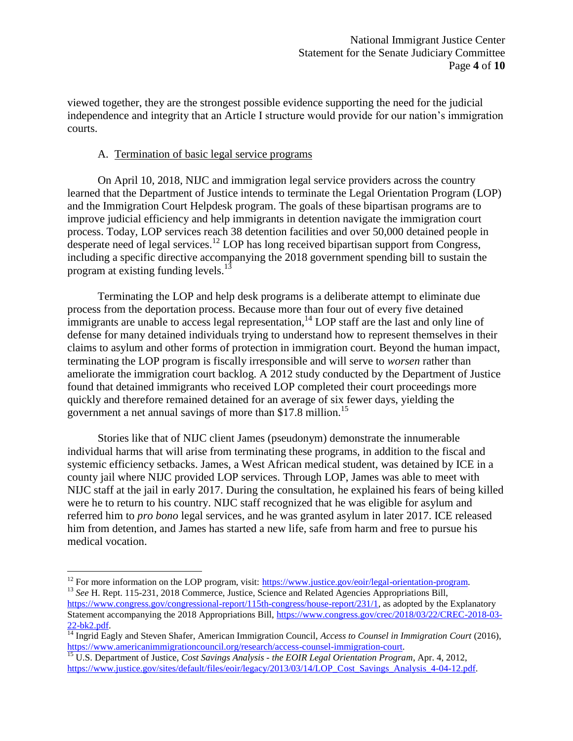viewed together, they are the strongest possible evidence supporting the need for the judicial independence and integrity that an Article I structure would provide for our nation's immigration courts.

#### A. Termination of basic legal service programs

On April 10, 2018, NIJC and immigration legal service providers across the country learned that the Department of Justice intends to terminate the Legal Orientation Program (LOP) and the Immigration Court Helpdesk program. The goals of these bipartisan programs are to improve judicial efficiency and help immigrants in detention navigate the immigration court process. Today, LOP services reach 38 detention facilities and over 50,000 detained people in desperate need of legal services.<sup>12</sup> LOP has long received bipartisan support from Congress, including a specific directive accompanying the 2018 government spending bill to sustain the program at existing funding levels. $13$ 

Terminating the LOP and help desk programs is a deliberate attempt to eliminate due process from the deportation process. Because more than four out of every five detained immigrants are unable to access legal representation,  $14$  LOP staff are the last and only line of defense for many detained individuals trying to understand how to represent themselves in their claims to asylum and other forms of protection in immigration court. Beyond the human impact, terminating the LOP program is fiscally irresponsible and will serve to *worsen* rather than ameliorate the immigration court backlog. A 2012 study conducted by the Department of Justice found that detained immigrants who received LOP completed their court proceedings more quickly and therefore remained detained for an average of six fewer days, yielding the government a net annual savings of more than \$17.8 million.<sup>15</sup>

Stories like that of NIJC client James (pseudonym) demonstrate the innumerable individual harms that will arise from terminating these programs, in addition to the fiscal and systemic efficiency setbacks. James, a West African medical student, was detained by ICE in a county jail where NIJC provided LOP services. Through LOP, James was able to meet with NIJC staff at the jail in early 2017. During the consultation, he explained his fears of being killed were he to return to his country. NIJC staff recognized that he was eligible for asylum and referred him to *pro bono* legal services, and he was granted asylum in later 2017. ICE released him from detention, and James has started a new life, safe from harm and free to pursue his medical vocation.

 $12$  For more information on the LOP program, visit: [https://www.justice.gov/eoir/legal-orientation-program.](https://www.justice.gov/eoir/legal-orientation-program)

<sup>&</sup>lt;sup>13</sup> See H. Rept. 115-231, 2018 Commerce, Justice, Science and Related Agencies Appropriations Bill, [https://www.congress.gov/congressional-report/115th-congress/house-report/231/1,](https://www.congress.gov/congressional-report/115th-congress/house-report/231/1) as adopted by the Explanatory Statement accompanying the 2018 Appropriations Bill, [https://www.congress.gov/crec/2018/03/22/CREC-2018-03-](https://www.congress.gov/crec/2018/03/22/CREC-2018-03-22-bk2.pdf) [22-bk2.pdf.](https://www.congress.gov/crec/2018/03/22/CREC-2018-03-22-bk2.pdf)

<sup>14</sup> Ingrid Eagly and Steven Shafer, American Immigration Council, *Access to Counsel in Immigration Court* (2016[\),](https://www.americanimmigrationcouncil.org/research/access-counsel-immigration-court) [https://www.americanimmigrationcouncil.org/research/access-counsel-immigration-court.](https://www.americanimmigrationcouncil.org/research/access-counsel-immigration-court)

<sup>15</sup> U.S. Department of Justice, *Cost Savings Analysis - the EOIR Legal Orientation Program*, Apr. 4, 2012, https://www.justice.gov/sites/default/files/eoir/legacy/2013/03/14/LOP\_Cost\_Savings\_Analysis\_4-04-12.pdf.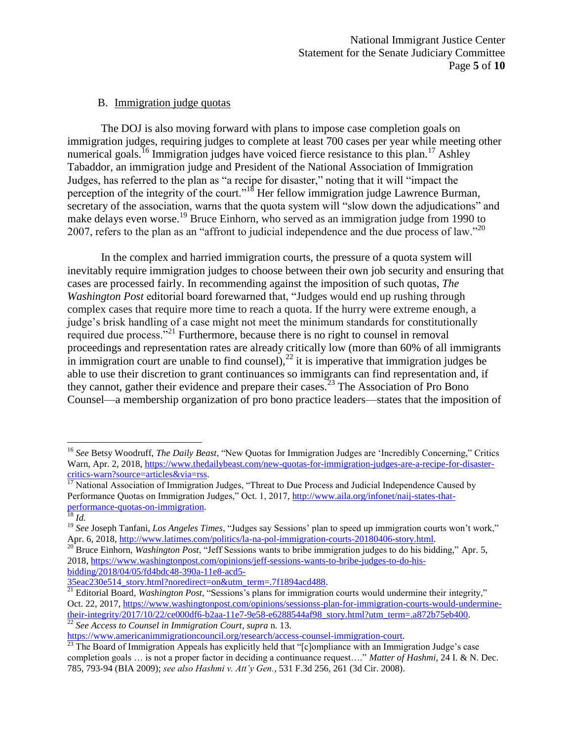# B. Immigration judge quotas

The DOJ is also moving forward with plans to impose case completion goals on immigration judges, requiring judges to complete at least 700 cases per year while meeting other numerical goals.<sup>16</sup> Immigration judges have voiced fierce resistance to this plan.<sup>17</sup> Ashley Tabaddor, an immigration judge and President of the National Association of Immigration Judges, has referred to the plan as "a recipe for disaster," noting that it will "impact the perception of the integrity of the court."<sup>18</sup> Her fellow immigration judge Lawrence Burman, secretary of the association, warns that the quota system will "slow down the adjudications" and make delays even worse.<sup>19</sup> Bruce Einhorn, who served as an immigration judge from 1990 to 2007, refers to the plan as an "affront to judicial independence and the due process of law."  $^{20}$ 

In the complex and harried immigration courts, the pressure of a quota system will inevitably require immigration judges to choose between their own job security and ensuring that cases are processed fairly. In recommending against the imposition of such quotas, *The Washington Post* editorial board forewarned that, "Judges would end up rushing through complex cases that require more time to reach a quota. If the hurry were extreme enough, a judge's brisk handling of a case might not meet the minimum standards for constitutionally required due process."<sup>21</sup> Furthermore, because there is no right to counsel in removal proceedings and representation rates are already critically low (more than 60% of all immigrants in immigration court are unable to find counsel),  $^{22}$  it is imperative that immigration judges be able to use their discretion to grant continuances so immigrants can find representation and, if they cannot, gather their evidence and prepare their cases.<sup>23</sup> The Association of Pro Bono Counsel—a membership organization of pro bono practice leaders—states that the imposition of

<sup>16</sup> *See* Betsy Woodruff, *The Daily Beast*, "New Quotas for Immigration Judges are 'Incredibly Concerning," Critics Warn, Apr. 2, 2018, [https://www.thedailybeast.com/new-quotas-for-immigration-judges-are-a-recipe-for-disaster](https://www.thedailybeast.com/new-quotas-for-immigration-judges-are-a-recipe-for-disaster-critics-warn?source=articles&via=rss)eritics-warn?source=articles&via=rss.<br><sup>17</sup> National Assessment Reserved and Reserved Assessment Reserved Assessment Reserved Assessment Reserved Bulletings.

<sup>17</sup> National Association of Immigration Judges, "Threat to Due Process and Judicial Independence Caused by Performance Quotas on Immigration Judges," Oct. 1, 2017, [http://www.aila.org/infonet/naij-states-that](http://www.aila.org/infonet/naij-states-that-performance-quotas-on-immigration)[performance-quotas-on-immigration.](http://www.aila.org/infonet/naij-states-that-performance-quotas-on-immigration)

<sup>18</sup> *Id.*

<sup>&</sup>lt;sup>19</sup> See Joseph Tanfani, *Los Angeles Times*, "Judges say Sessions' plan to speed up immigration courts won't work," Apr. 6, 2018[, http://www.latimes.com/politics/la-na-pol-immigration-courts-20180406-story.html.](http://www.latimes.com/politics/la-na-pol-immigration-courts-20180406-story.html) 

<sup>20</sup> Bruce Einhorn, *Washington Post*, "Jeff Sessions wants to bribe immigration judges to do his bidding," Apr. 5, 2018, [https://www.washingtonpost.com/opinions/jeff-sessions-wants-to-bribe-judges-to-do-his](https://www.washingtonpost.com/opinions/jeff-sessions-wants-to-bribe-judges-to-do-his-bidding/2018/04/05/fd4bdc48-390a-11e8-acd5-35eac230e514_story.html?noredirect=on&utm_term=.7f1894acd488)[bidding/2018/04/05/fd4bdc48-390a-11e8-acd5-](https://www.washingtonpost.com/opinions/jeff-sessions-wants-to-bribe-judges-to-do-his-bidding/2018/04/05/fd4bdc48-390a-11e8-acd5-35eac230e514_story.html?noredirect=on&utm_term=.7f1894acd488)

[<sup>35</sup>eac230e514\\_story.html?noredirect=on&utm\\_term=.7f1894acd488.](https://www.washingtonpost.com/opinions/jeff-sessions-wants-to-bribe-judges-to-do-his-bidding/2018/04/05/fd4bdc48-390a-11e8-acd5-35eac230e514_story.html?noredirect=on&utm_term=.7f1894acd488)

<sup>&</sup>lt;sup>21</sup> Editorial Board, *Washington Post*, "Sessions's plans for immigration courts would undermine their integrity," Oct. 22, 2017[, https://www.washingtonpost.com/opinions/sessionss-plan-for-immigration-courts-would-undermine](https://www.washingtonpost.com/opinions/sessionss-plan-for-immigration-courts-would-undermine-their-integrity/2017/10/22/ce000df6-b2aa-11e7-9e58-e6288544af98_story.html?utm_term=.a872b75eb400)[their-integrity/2017/10/22/ce000df6-b2aa-11e7-9e58-e6288544af98\\_story.html?utm\\_term=.a872b75eb400.](https://www.washingtonpost.com/opinions/sessionss-plan-for-immigration-courts-would-undermine-their-integrity/2017/10/22/ce000df6-b2aa-11e7-9e58-e6288544af98_story.html?utm_term=.a872b75eb400) 

<sup>22</sup> *See Access to Counsel in Immigration Court*, *supra* n. 13.

[https://www.americanimmigrationcouncil.org/research/access-counsel-immigration-court.](https://www.americanimmigrationcouncil.org/research/access-counsel-immigration-court)

 $\frac{23}{23}$  The Board of Immigration Appeals has explicitly held that "[c]ompliance with an Immigration Judge's case completion goals … is not a proper factor in deciding a continuance request…." *Matter of Hashmi,* 24 I. & N. Dec. 785, 793-94 (BIA 2009); *see also Hashmi v. Att'y Gen.*, 531 F.3d 256, 261 (3d Cir. 2008).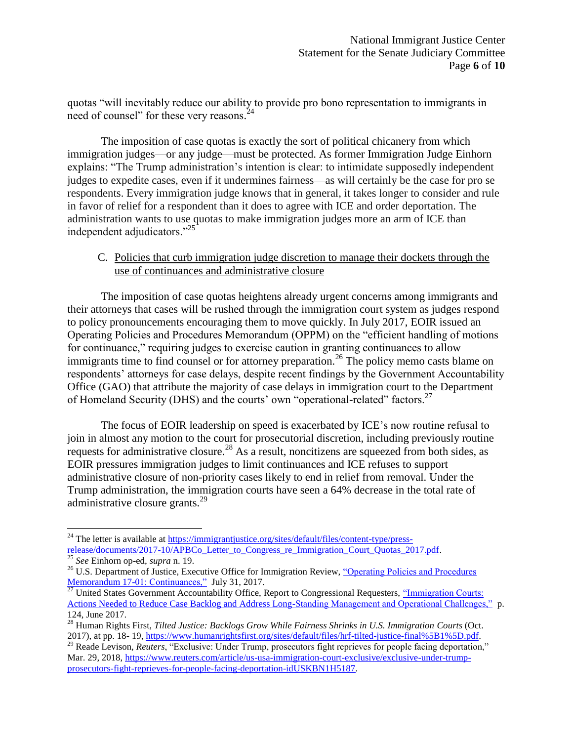quotas "will inevitably reduce our ability to provide pro bono representation to immigrants in need of counsel" for these very reasons.<sup>24</sup>

The imposition of case quotas is exactly the sort of political chicanery from which immigration judges—or any judge—must be protected. As former Immigration Judge Einhorn explains: "The Trump administration's intention is clear: to intimidate supposedly independent judges to expedite cases, even if it undermines fairness—as will certainly be the case for pro se respondents. Every immigration judge knows that in general, it takes longer to consider and rule in favor of relief for a respondent than it does to agree with ICE and order deportation. The administration wants to use quotas to make immigration judges more an arm of ICE than independent adjudicators."<sup>25</sup>

# C. Policies that curb immigration judge discretion to manage their dockets through the use of continuances and administrative closure

The imposition of case quotas heightens already urgent concerns among immigrants and their attorneys that cases will be rushed through the immigration court system as judges respond to policy pronouncements encouraging them to move quickly. In July 2017, EOIR issued an Operating Policies and Procedures Memorandum (OPPM) on the "efficient handling of motions for continuance," requiring judges to exercise caution in granting continuances to allow immigrants time to find counsel or for attorney preparation.<sup>26</sup> The policy memo casts blame on respondents' attorneys for case delays, despite recent findings by the Government Accountability Office (GAO) that attribute the majority of case delays in immigration court to the Department of Homeland Security (DHS) and the courts' own "operational-related" factors.<sup>27</sup>

The focus of EOIR leadership on speed is exacerbated by ICE's now routine refusal to join in almost any motion to the court for prosecutorial discretion, including previously routine requests for administrative closure.<sup>28</sup> As a result, noncitizens are squeezed from both sides, as EOIR pressures immigration judges to limit continuances and ICE refuses to support administrative closure of non-priority cases likely to end in relief from removal. Under the Trump administration, the immigration courts have seen a 64% decrease in the total rate of administrative closure grants.<sup>29</sup>

<sup>&</sup>lt;sup>24</sup> The letter is available at <u>https://immigrantjustice.org/sites/default/files/content-type/press-</u> [release/documents/2017-10/APBCo\\_Letter\\_to\\_Congress\\_re\\_Immigration\\_Court\\_Quotas\\_2017.pdf.](https://immigrantjustice.org/sites/default/files/content-type/press-release/documents/2017-10/APBCo_Letter_to_Congress_re_Immigration_Court_Quotas_2017.pdf)

<sup>25</sup> *See* Einhorn op-ed, *supra* n. 19.

<sup>&</sup>lt;sup>26</sup> U.S. Department of Justice, Executive Office for Immigration Review, "Operating Policies and Procedures" [Memorandum 17-01: Continuances,"](https://www.justice.gov/eoir/file/oppm17-01/download) July 31, 2017.

<sup>&</sup>lt;sup>27</sup> United States Government Accountability Office, Report to Congressional Requesters, "Immigration Courts: [Actions Needed to Reduce Case Backlog and Address Long-Standing Management and Operational Challenges,"](http://www.gao.gov/assets/690/685022.pdf) p. 124, June 2017.

<sup>28</sup> Human Rights First, *Tilted Justice: Backlogs Grow While Fairness Shrinks in U.S. Immigration Courts* (Oct. 2017), at pp. 18- 19, [https://www.humanrightsfirst.org/sites/default/files/hrf-tilted-justice-final%5B1%5D.pdf.](https://www.humanrightsfirst.org/sites/default/files/hrf-tilted-justice-final%5B1%5D.pdf)

<sup>&</sup>lt;sup>29</sup> Reade Levison, *Reuters*, "Exclusive: Under Trump, prosecutors fight reprieves for people facing deportation," Mar. 29, 2018[, https://www.reuters.com/article/us-usa-immigration-court-exclusive/exclusive-under-trump](https://www.reuters.com/article/us-usa-immigration-court-exclusive/exclusive-under-trump-prosecutors-fight-reprieves-for-people-facing-deportation-idUSKBN1H5187)[prosecutors-fight-reprieves-for-people-facing-deportation-idUSKBN1H5187.](https://www.reuters.com/article/us-usa-immigration-court-exclusive/exclusive-under-trump-prosecutors-fight-reprieves-for-people-facing-deportation-idUSKBN1H5187)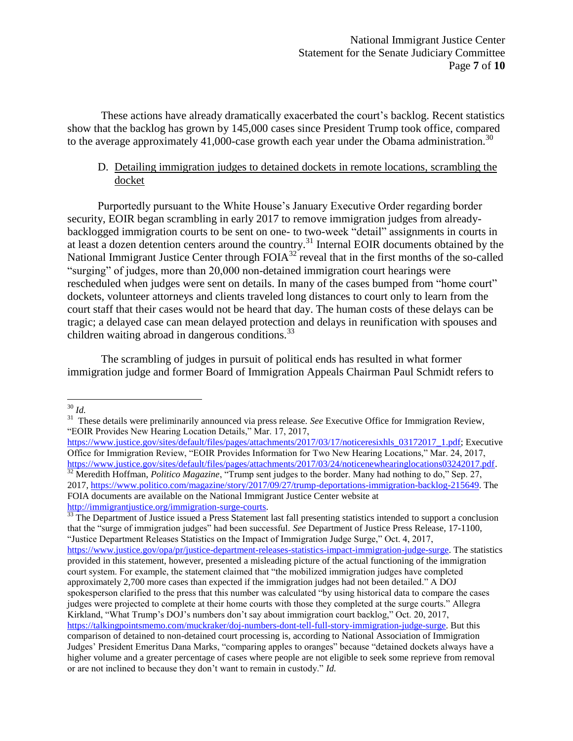These actions have already dramatically exacerbated the court's backlog. Recent statistics show that the backlog has grown by 145,000 cases since President Trump took office, compared to the average approximately 41,000-case growth each year under the Obama administration.<sup>30</sup>

# D. Detailing immigration judges to detained dockets in remote locations, scrambling the docket

Purportedly pursuant to the White House's January Executive Order regarding border security, EOIR began scrambling in early 2017 to remove immigration judges from alreadybacklogged immigration courts to be sent on one- to two-week "detail" assignments in courts in at least a dozen detention centers around the country.<sup>31</sup> Internal EOIR documents obtained by the National Immigrant Justice Center through FOIA<sup>32</sup> reveal that in the first months of the so-called "surging" of judges, more than 20,000 non-detained immigration court hearings were rescheduled when judges were sent on details. In many of the cases bumped from "home court" dockets, volunteer attorneys and clients traveled long distances to court only to learn from the court staff that their cases would not be heard that day. The human costs of these delays can be tragic; a delayed case can mean delayed protection and delays in reunification with spouses and children waiting abroad in dangerous conditions. $^{33}$ 

The scrambling of judges in pursuit of political ends has resulted in what former immigration judge and former Board of Immigration Appeals Chairman Paul Schmidt refers to

<sup>30</sup> *Id.*

<sup>&</sup>lt;sup>31</sup> These details were preliminarily announced via press release. *See* Executive Office for Immigration Review, "EOIR Provides New Hearing Location Details," Mar. 17, 2017,

[https://www.justice.gov/sites/default/files/pages/attachments/2017/03/17/noticeresixhls\\_03172017\\_1.pdf;](https://www.justice.gov/sites/default/files/pages/attachments/2017/03/17/noticeresixhls_03172017_1.pdf) Executive Office for Immigration Review, "EOIR Provides Information for Two New Hearing Locations," Mar. 24, 2017, [https://www.justice.gov/sites/default/files/pages/attachments/2017/03/24/noticenewhearinglocations03242017.pdf.](https://www.justice.gov/sites/default/files/pages/attachments/2017/03/24/noticenewhearinglocations03242017.pdf) <sup>32</sup> Meredith Hoffman, *Politico Magazine*, "Trump sent judges to the border. Many had nothing to do," Sep. 27, 2017, [https://www.politico.com/magazine/story/2017/09/27/trump-deportations-immigration-backlog-215649.](https://www.politico.com/magazine/story/2017/09/27/trump-deportations-immigration-backlog-215649) The FOIA documents are available on the National Immigrant Justice Center website at [http://immigrantjustice.org/immigration-surge-courts.](http://immigrantjustice.org/immigration-surge-courts) 

<sup>&</sup>lt;sup>33</sup> The Department of Justice issued a Press Statement last fall presenting statistics intended to support a conclusion that the "surge of immigration judges" had been successful. *See* Department of Justice Press Release, 17-1100, "Justice Department Releases Statistics on the Impact of Immigration Judge Surge," Oct. 4, 2017, [https://www.justice.gov/opa/pr/justice-department-releases-statistics-impact-immigration-judge-surge.](https://www.justice.gov/opa/pr/justice-department-releases-statistics-impact-immigration-judge-surge) The statistics provided in this statement, however, presented a misleading picture of the actual functioning of the immigration court system. For example, the statement claimed that "the mobilized immigration judges have completed approximately 2,700 more cases than expected if the immigration judges had not been detailed." A DOJ spokesperson clarified to the press that this number was calculated "by using historical data to compare the cases judges were projected to complete at their home courts with those they completed at the surge courts." Allegra Kirkland, "What Trump's DOJ's numbers don't say about immigration court backlog," Oct. 20, 2017, [https://talkingpointsmemo.com/muckraker/doj-numbers-dont-tell-full-story-immigration-judge-surge.](https://talkingpointsmemo.com/muckraker/doj-numbers-dont-tell-full-story-immigration-judge-surge) But this comparison of detained to non-detained court processing is, according to National Association of Immigration Judges' President Emeritus Dana Marks, "comparing apples to oranges" because "detained dockets always have a higher volume and a greater percentage of cases where people are not eligible to seek some reprieve from removal or are not inclined to because they don't want to remain in custody." *Id.*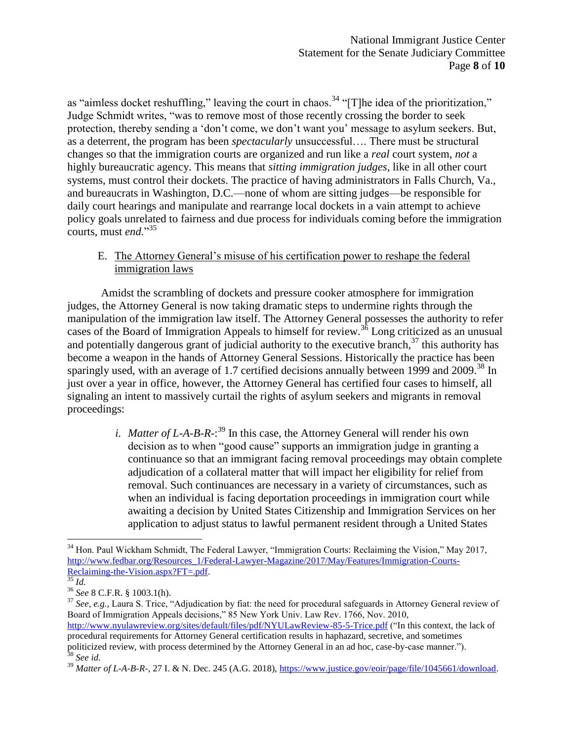as "aimless docket reshuffling," leaving the court in chaos.<sup>34</sup> "[T]he idea of the prioritization," Judge Schmidt writes, "was to remove most of those recently crossing the border to seek protection, thereby sending a 'don't come, we don't want you' message to asylum seekers. But, as a deterrent, the program has been *spectacularly* unsuccessful…. There must be structural changes so that the immigration courts are organized and run like a *real* court system, *not* a highly bureaucratic agency. This means that *sitting immigration judges*, like in all other court systems, must control their dockets. The practice of having administrators in Falls Church, Va., and bureaucrats in Washington, D.C.—none of whom are sitting judges—be responsible for daily court hearings and manipulate and rearrange local dockets in a vain attempt to achieve policy goals unrelated to fairness and due process for individuals coming before the immigration courts, must *end*."<sup>35</sup>

E. The Attorney General's misuse of his certification power to reshape the federal immigration laws

Amidst the scrambling of dockets and pressure cooker atmosphere for immigration judges, the Attorney General is now taking dramatic steps to undermine rights through the manipulation of the immigration law itself. The Attorney General possesses the authority to refer cases of the Board of Immigration Appeals to himself for review.<sup>36</sup> Long criticized as an unusual and potentially dangerous grant of judicial authority to the executive branch, $37$  this authority has become a weapon in the hands of Attorney General Sessions. Historically the practice has been sparingly used, with an average of 1.7 certified decisions annually between 1999 and 2009.<sup>38</sup> In just over a year in office, however, the Attorney General has certified four cases to himself, all signaling an intent to massively curtail the rights of asylum seekers and migrants in removal proceedings:

> *i. Matter of L-A-B*-*R*-: <sup>39</sup> In this case, the Attorney General will render his own decision as to when "good cause" supports an immigration judge in granting a continuance so that an immigrant facing removal proceedings may obtain complete adjudication of a collateral matter that will impact her eligibility for relief from removal. Such continuances are necessary in a variety of circumstances, such as when an individual is facing deportation proceedings in immigration court while awaiting a decision by United States Citizenship and Immigration Services on her application to adjust status to lawful permanent resident through a United States

<sup>&</sup>lt;sup>34</sup> Hon. Paul Wickham Schmidt, The Federal Lawyer, "Immigration Courts: Reclaiming the Vision," May 2017, [http://www.fedbar.org/Resources\\_1/Federal-Lawyer-Magazine/2017/May/Features/Immigration-Courts-](http://www.fedbar.org/Resources_1/Federal-Lawyer-Magazine/2017/May/Features/Immigration-Courts-Reclaiming-the-Vision.aspx?FT=.pdf)[Reclaiming-the-Vision.aspx?FT=.pdf.](http://www.fedbar.org/Resources_1/Federal-Lawyer-Magazine/2017/May/Features/Immigration-Courts-Reclaiming-the-Vision.aspx?FT=.pdf)

<sup>35</sup> *Id.* 

<sup>36</sup> *See* 8 C.F.R. § 1003.1(h).

<sup>&</sup>lt;sup>37</sup> See, e.g., Laura S. Trice, "Adjudication by fiat: the need for procedural safeguards in Attorney General review of Board of Immigration Appeals decisions," 85 New York Univ. Law Rev. 1766, Nov. 2010, <http://www.nyulawreview.org/sites/default/files/pdf/NYULawReview-85-5-Trice.pdf> ("In this context, the lack of procedural requirements for Attorney General certification results in haphazard, secretive, and sometimes politicized review, with process determined by the Attorney General in an ad hoc, case-by-case manner."). <sup>38</sup> *See id.*

<sup>&</sup>lt;sup>39</sup> *Matter of L-A-B-R-*, 27 I. & N. Dec. 245 (A.G. 2018), https://www.justice.gov/eoir/page/file/1045661/download.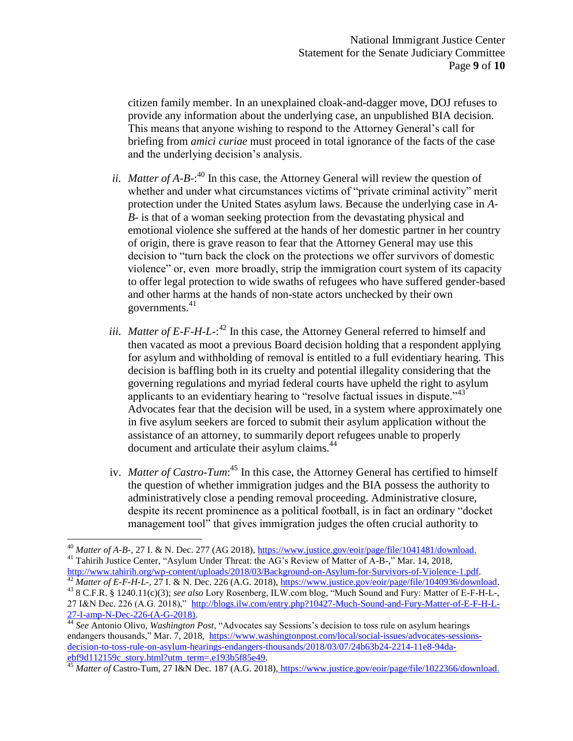citizen family member. In an unexplained cloak-and-dagger move, DOJ refuses to provide any information about the underlying case, an unpublished BIA decision. This means that anyone wishing to respond to the Attorney General's call for briefing from *amici curiae* must proceed in total ignorance of the facts of the case and the underlying decision's analysis.

- ii. *Matter of A-B-*:<sup>40</sup> In this case, the Attorney General will review the question of whether and under what circumstances victims of "private criminal activity" merit protection under the United States asylum laws. Because the underlying case in *A-B-* is that of a woman seeking protection from the devastating physical and emotional violence she suffered at the hands of her domestic partner in her country of origin, there is grave reason to fear that the Attorney General may use this decision to "turn back the clock on the protections we offer survivors of domestic violence" or, even more broadly, strip the immigration court system of its capacity to offer legal protection to wide swaths of refugees who have suffered gender-based and other harms at the hands of non-state actors unchecked by their own governments. $41$
- iii. *Matter of E-F-H-L-*:<sup>42</sup> In this case, the Attorney General referred to himself and then vacated as moot a previous Board decision holding that a respondent applying for asylum and withholding of removal is entitled to a full evidentiary hearing. This decision is baffling both in its cruelty and potential illegality considering that the governing regulations and myriad federal courts have upheld the right to asylum applicants to an evidentiary hearing to "resolve factual issues in dispute."<sup>43</sup> Advocates fear that the decision will be used, in a system where approximately one in five asylum seekers are forced to submit their asylum application without the assistance of an attorney, to summarily deport refugees unable to properly document and articulate their asylum claims.<sup>44</sup>
- iv. *Matter of Castro-Tum*:<sup>45</sup> In this case, the Attorney General has certified to himself the question of whether immigration judges and the BIA possess the authority to administratively close a pending removal proceeding. Administrative closure, despite its recent prominence as a political football, is in fact an ordinary "docket management tool" that gives immigration judges the often crucial authority to

 $\overline{a}$ <sup>40</sup> *Matter of A-B-*, 27 I. & N. Dec. 277 (AG 2018), [https://www.justice.gov/eoir/page/file/1041481/download.](https://www.justice.gov/eoir/page/file/1041481/download) <sup>41</sup> Tahirih Justice Center, "Asylum Under Threat: the AG's Review of Matter of A-B-," Mar. 14, 2018,

[http://www.tahirih.org/wp-content/uploads/2018/03/Background-on-Asylum-for-Survivors-of-Violence-1.pdf.](http://www.tahirih.org/wp-content/uploads/2018/03/Background-on-Asylum-for-Survivors-of-Violence-1.pdf) <sup>42</sup> *Matter of E-F-H-L-*, 27 I. & N. Dec. 226 (A.G. 2018), [https://www.justice.gov/eoir/page/file/1040936/download.](https://www.justice.gov/eoir/page/file/1040936/download)  <sup>43</sup> 8 C.F.R. § 1240.11(c)(3); *see also* Lory Rosenberg, ILW.com blog, "Much Sound and Fury: Matter of E-F-H-L-, 27 I&N Dec. 226 (A.G. 2018)," [http://blogs.ilw.com/entry.php?10427-Much-Sound-and-Fury-Matter-of-E-F-H-L-](http://blogs.ilw.com/entry.php?10427-Much-Sound-and-Fury-Matter-of-E-F-H-L-27-I-amp-N-Dec-226-(A-G-2018))[27-I-amp-N-Dec-226-\(A-G-2018\).](http://blogs.ilw.com/entry.php?10427-Much-Sound-and-Fury-Matter-of-E-F-H-L-27-I-amp-N-Dec-226-(A-G-2018))

<sup>44</sup> *See* Antonio Olivo, *Washington Post*, "Advocates say Sessions's decision to toss rule on asylum hearings endangers thousands," Mar. 7, 2018, [https://www.washingtonpost.com/local/social-issues/advocates-sessions](https://www.washingtonpost.com/local/social-issues/advocates-sessions-decision-to-toss-rule-on-asylum-hearings-endangers-thousands/2018/03/07/24b63b24-2214-11e8-94da-ebf9d112159c_story.html?utm_term=.e193b5f85e49)[decision-to-toss-rule-on-asylum-hearings-endangers-thousands/2018/03/07/24b63b24-2214-11e8-94da](https://www.washingtonpost.com/local/social-issues/advocates-sessions-decision-to-toss-rule-on-asylum-hearings-endangers-thousands/2018/03/07/24b63b24-2214-11e8-94da-ebf9d112159c_story.html?utm_term=.e193b5f85e49)[ebf9d112159c\\_story.html?utm\\_term=.e193b5f85e49](https://www.washingtonpost.com/local/social-issues/advocates-sessions-decision-to-toss-rule-on-asylum-hearings-endangers-thousands/2018/03/07/24b63b24-2214-11e8-94da-ebf9d112159c_story.html?utm_term=.e193b5f85e49)*.* 

<sup>45</sup> *Matter of* Castro-Tum, 27 I&N Dec. 187 (A.G. 2018), [https://www.justice.gov/eoir/page/file/1022366/download.](https://www.justice.gov/eoir/page/file/1022366/download)